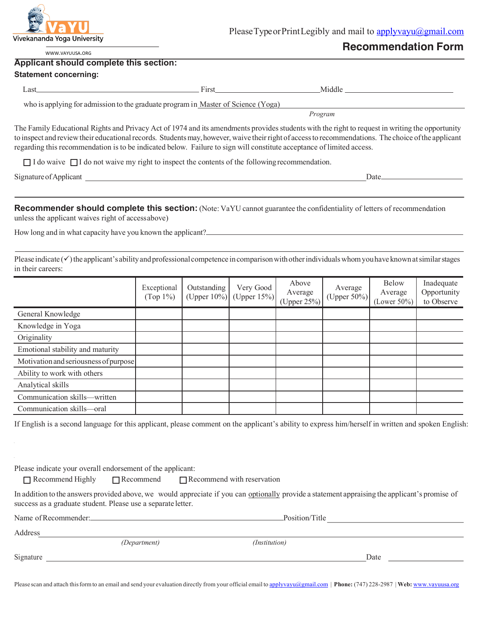

PleaseTypeorPrintLegibly and mail to applyvayu@gmail.com

# **Recommendation Form**

WWW.VAYUUSA.ORG

#### **Applicant should complete this section:**

#### **Statement concerning:**

| as'                                                                               | <b>Tires</b> | Middle  |  |  |  |  |
|-----------------------------------------------------------------------------------|--------------|---------|--|--|--|--|
| who is applying for admission to the graduate program in Master of Science (Yoga) |              |         |  |  |  |  |
|                                                                                   |              | Program |  |  |  |  |

The Family Educational Rights and Privacy Act of 1974 and its amendments provides students with the right to request in writing the opportunity to inspect and review their educational records. Students may, however, waive their right of access to recommendations. The choice of the applicant regarding this recommendation is to be indicated below. Failure to sign will constitute acceptance of limited access.

 $\Box$  I do waive  $\Box$  I do not waive my right to inspect the contents of the following recommendation.

Signature of Applicant Date **Date** Date **Date** Date **Date** Date **Date** Date **Date Date Date Date Date Date D** 

**Recommender should complete this section:** (Note: VaYU cannot guarantee the confidentiality of letters of recommendation unless the applicant waives right of accessabove)

How long and in what capacity have you known the applicant?

Please indicate  $(\checkmark)$  the applicant's ability and professional competence in comparison with other individuals whom you have known at similar stages in their careers:

|                                       | Exceptional<br>$(Top 1\%)$ | Outstanding<br>(Upper $10\%$ ) | Very Good<br>(Upper $15\%$ ) | Above<br>Average<br>(Upper $25\%$ ) | Average<br>(Upper $50\%$ ) | Below<br>Average<br>(Lower $50\%$ ) | Inadequate<br>Opportunity<br>to Observe |
|---------------------------------------|----------------------------|--------------------------------|------------------------------|-------------------------------------|----------------------------|-------------------------------------|-----------------------------------------|
| General Knowledge                     |                            |                                |                              |                                     |                            |                                     |                                         |
| Knowledge in Yoga                     |                            |                                |                              |                                     |                            |                                     |                                         |
| Originality                           |                            |                                |                              |                                     |                            |                                     |                                         |
| Emotional stability and maturity      |                            |                                |                              |                                     |                            |                                     |                                         |
| Motivation and seriousness of purpose |                            |                                |                              |                                     |                            |                                     |                                         |
| Ability to work with others           |                            |                                |                              |                                     |                            |                                     |                                         |
| Analytical skills                     |                            |                                |                              |                                     |                            |                                     |                                         |
| Communication skills-written          |                            |                                |                              |                                     |                            |                                     |                                         |
| Communication skills-oral             |                            |                                |                              |                                     |                            |                                     |                                         |

If English is a second language for this applicant, please comment on the applicant's ability to express him/herself in written and spoken English:

Please indicate your overall endorsement of the applicant:

 $\Box$  Recommend Highly  $\Box$  Recommend  $\Box$  Recommend with reservation

In addition to the answers provided above, we would appreciate if you can optionally provide a statement appraising the applicant's promise of success as a graduate student. Please use a separate letter.

| Name of Recommender: | Position/Title |               |      |
|----------------------|----------------|---------------|------|
| Address              |                |               |      |
|                      | (Department)   | (Institution) |      |
| Signature            |                |               | Date |

Please scan and attach this form to an email and send your evaluation directly from your official email to applyvayu@gmail.com | **Phone:** (747) 228-2987 | **Web:** www.vayuusa.org